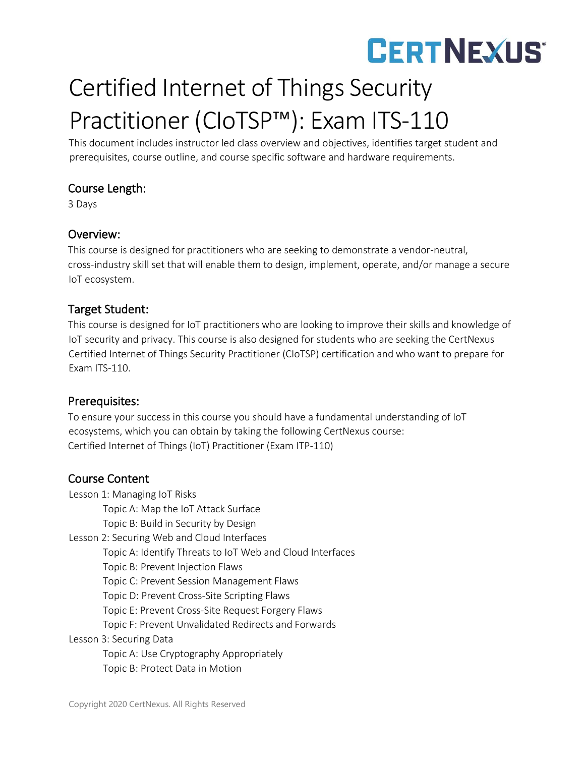## **CERTNEXUS®**

### Certified Internet of Things Security Practitioner (CIoTSP™): Exam ITS-110

This document includes instructor led class overview and objectives, identifies target student and prerequisites, course outline, and course specific software and hardware requirements.

#### Course Length:

3 Days

#### Overview:

This course is designed for practitioners who are seeking to demonstrate a vendor-neutral, cross-industry skill set that will enable them to design, implement, operate, and/or manage a secure IoT ecosystem.

#### Target Student:

This course is designed for IoT practitioners who are looking to improve their skills and knowledge of IoT security and privacy. This course is also designed for students who are seeking the CertNexus Certified Internet of Things Security Practitioner (CIoTSP) certification and who want to prepare for Exam ITS-110.

#### Prerequisites:

To ensure your success in this course you should have a fundamental understanding of IoT ecosystems, which you can obtain by taking the following CertNexus course: Certified Internet of Things (IoT) Practitioner (Exam ITP-110)

#### Course Content

Lesson 1: Managing IoT Risks Topic A: Map the IoT Attack Surface Topic B: Build in Security by Design Lesson 2: Securing Web and Cloud Interfaces Topic A: Identify Threats to IoT Web and Cloud Interfaces Topic B: Prevent Injection Flaws Topic C: Prevent Session Management Flaws Topic D: Prevent Cross-Site Scripting Flaws Topic E: Prevent Cross-Site Request Forgery Flaws Topic F: Prevent Unvalidated Redirects and Forwards Lesson 3: Securing Data Topic A: Use Cryptography Appropriately Topic B: Protect Data in Motion